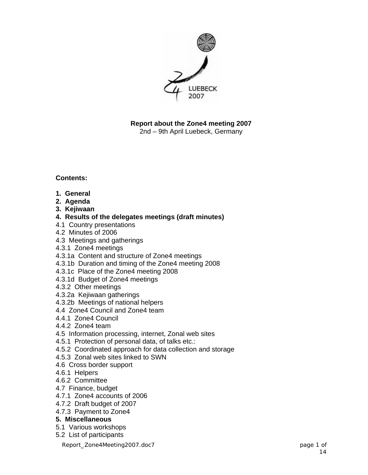

**Report about the Zone4 meeting 2007**  2nd – 9th April Luebeck, Germany

**Contents:** 

- **1. General**
- **2. Agenda**
- **3. Kejiwaan**
- **4. Results of the delegates meetings (draft minutes)**
- 4.1 Country presentations
- 4.2 Minutes of 2006
- 4.3 Meetings and gatherings
- 4.3.1 Zone4 meetings
- 4.3.1a Content and structure of Zone4 meetings
- 4.3.1b Duration and timing of the Zone4 meeting 2008
- 4.3.1c Place of the Zone4 meeting 2008
- 4.3.1d Budget of Zone4 meetings
- 4.3.2 Other meetings
- 4.3.2a Kejiwaan gatherings
- 4.3.2b Meetings of national helpers
- 4.4 Zone4 Council and Zone4 team
- 4.4.1 Zone4 Council
- 4.4.2 Zone4 team
- 4.5 Information processing, internet, Zonal web sites
- 4.5.1 Protection of personal data, of talks etc.:
- 4.5.2 Coordinated approach for data collection and storage
- 4.5.3 Zonal web sites linked to SWN
- 4.6 Cross border support
- 4.6.1 Helpers
- 4.6.2 Committee
- 4.7 Finance, budget
- 4.7.1 Zone4 accounts of 2006
- 4.7.2 Draft budget of 2007
- 4.7.3 Payment to Zone4

#### **5. Miscellaneous**

- 5.1 Various workshops
- 5.2 List of participants

Report\_Zone4Meeting2007.doc7 page 1 of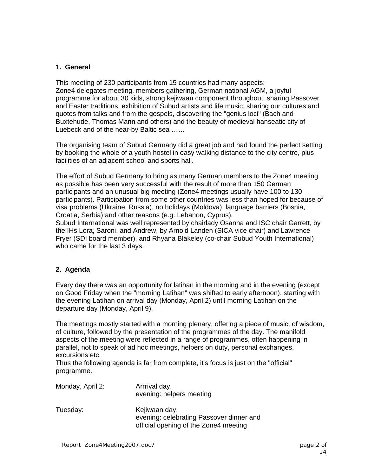### **1. General**

This meeting of 230 participants from 15 countries had many aspects: Zone4 delegates meeting, members gathering, German national AGM, a joyful programme for about 30 kids, strong kejiwaan component throughout, sharing Passover and Easter traditions, exhibition of Subud artists and life music, sharing our cultures and quotes from talks and from the gospels, discovering the "genius loci" (Bach and Buxtehude, Thomas Mann and others) and the beauty of medieval hanseatic city of Luebeck and of the near-by Baltic sea ……

The organising team of Subud Germany did a great job and had found the perfect setting by booking the whole of a youth hostel in easy walking distance to the city centre, plus facilities of an adjacent school and sports hall.

The effort of Subud Germany to bring as many German members to the Zone4 meeting as possible has been very successful with the result of more than 150 German participants and an unusual big meeting (Zone4 meetings usually have 100 to 130 participants). Participation from some other countries was less than hoped for because of visa problems (Ukraine, Russia), no holidays (Moldova), language barriers (Bosnia, Croatia, Serbia) and other reasons (e.g. Lebanon, Cyprus).

Subud International was well represented by chairlady Osanna and ISC chair Garrett, by the IHs Lora, Saroni, and Andrew, by Arnold Landen (SICA vice chair) and Lawrence Fryer (SDI board member), and Rhyana Blakeley (co-chair Subud Youth International) who came for the last 3 days.

# **2. Agenda**

Every day there was an opportunity for latihan in the morning and in the evening (except on Good Friday when the "morning Latihan" was shifted to early afternoon), starting with the evening Latihan on arrival day (Monday, April 2) until morning Latihan on the departure day (Monday, April 9).

The meetings mostly started with a morning plenary, offering a piece of music, of wisdom, of culture, followed by the presentation of the programmes of the day. The manifold aspects of the meeting were reflected in a range of programmes, often happening in parallel, not to speak of ad hoc meetings, helpers on duty, personal exchanges, excursions etc.

Thus the following agenda is far from complete, it's focus is just on the "official" programme.

| Monday, April 2: | Arrrival day,<br>evening: helpers meeting                                                          |
|------------------|----------------------------------------------------------------------------------------------------|
| Tuesday:         | Kejiwaan day,<br>evening: celebrating Passover dinner and<br>official opening of the Zone4 meeting |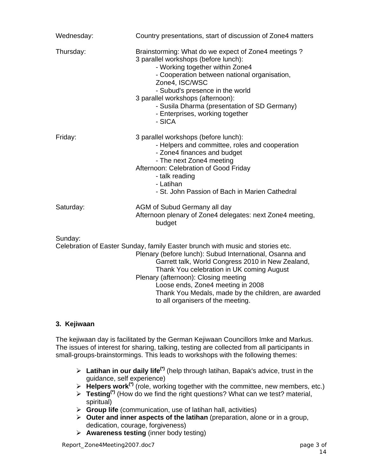| Wednesday: | Country presentations, start of discussion of Zone4 matters                                                                                                                                                                                                                                                                                                                     |
|------------|---------------------------------------------------------------------------------------------------------------------------------------------------------------------------------------------------------------------------------------------------------------------------------------------------------------------------------------------------------------------------------|
| Thursday:  | Brainstorming: What do we expect of Zone4 meetings?<br>3 parallel workshops (before lunch):<br>- Working together within Zone4<br>- Cooperation between national organisation,<br>Zone4, ISC/WSC<br>- Subud's presence in the world<br>3 parallel workshops (afternoon):<br>- Susila Dharma (presentation of SD Germany)<br>- Enterprises, working together<br>- SICA           |
| Friday:    | 3 parallel workshops (before lunch):<br>- Helpers and committee, roles and cooperation<br>- Zone4 finances and budget<br>- The next Zone4 meeting<br>Afternoon: Celebration of Good Friday<br>- talk reading<br>- Latihan<br>- St. John Passion of Bach in Marien Cathedral                                                                                                     |
| Saturday:  | AGM of Subud Germany all day<br>Afternoon plenary of Zone4 delegates: next Zone4 meeting,<br>budget                                                                                                                                                                                                                                                                             |
| Sunday:    | Celebration of Easter Sunday, family Easter brunch with music and stories etc.<br>Plenary (before lunch): Subud International, Osanna and<br>Garrett talk, World Congress 2010 in New Zealand,<br>Thank You celebration in UK coming August<br>Plenary (afternoon): Closing meeting<br>Loose ends, Zone4 meeting in 2008<br>Thank You Medals, made by the children, are awarded |

# **3. Kejiwaan**

The kejiwaan day is facilitated by the German Kejiwaan Councillors Imke and Markus. The issues of interest for sharing, talking, testing are collected from all participants in small-groups-brainstormings. This leads to workshops with the following themes:

- ¾ **Latihan in our daily life(\*)** (help through latihan, Bapak's advice, trust in the guidance, self experience)
- ¾ **Helpers work(\*)** (role, working together with the committee, new members, etc.)

to all organisers of the meeting.

- ¾ **Testing(\*)** (How do we find the right questions? What can we test? material, spiritual)
- ¾ **Group life** (communication, use of latihan hall, activities)
- ¾ **Outer and inner aspects of the latihan** (preparation, alone or in a group, dedication, courage, forgiveness)
- ¾ **Awareness testing** (inner body testing)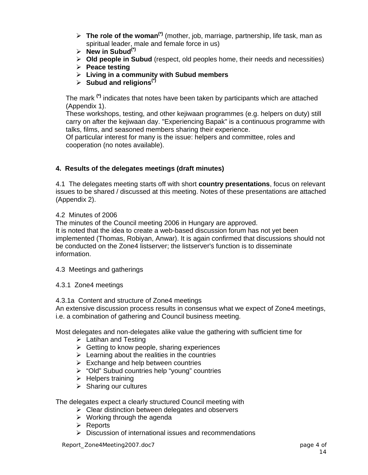- ¾ **The role of the woman(\*)** (mother, job, marriage, partnership, life task, man as spiritual leader, male and female force in us)
- $\triangleright$  **New in Subud**<sup>(\*)</sup>
- ¾ **Old people in Subud** (respect, old peoples home, their needs and necessities)
- ¾ **Peace testing**
- ¾ **Living in a community with Subud members**
- ¾ **Subud and religions(\*)**

The mark **(\*)** indicates that notes have been taken by participants which are attached (Appendix 1).

These workshops, testing, and other kejiwaan programmes (e.g. helpers on duty) still carry on after the kejiwaan day. "Experiencing Bapak" is a continuous programme with talks, films, and seasoned members sharing their experience.

Of particular interest for many is the issue: helpers and committee, roles and cooperation (no notes available).

### **4. Results of the delegates meetings (draft minutes)**

4.1 The delegates meeting starts off with short **country presentations**, focus on relevant issues to be shared / discussed at this meeting. Notes of these presentations are attached (Appendix 2).

#### 4.2 Minutes of 2006

The minutes of the Council meeting 2006 in Hungary are approved.

It is noted that the idea to create a web-based discussion forum has not yet been implemented (Thomas, Robiyan, Anwar). It is again confirmed that discussions should not be conducted on the Zone4 listserver; the listserver's function is to disseminate information.

4.3 Meetings and gatherings

#### 4.3.1 Zone4 meetings

4.3.1a Content and structure of Zone4 meetings

An extensive discussion process results in consensus what we expect of Zone4 meetings, i.e. a combination of gathering and Council business meeting.

Most delegates and non-delegates alike value the gathering with sufficient time for

- $\triangleright$  Latihan and Testing
- $\triangleright$  Getting to know people, sharing experiences
- $\triangleright$  Learning about the realities in the countries
- $\triangleright$  Exchange and help between countries
- ¾ "Old" Subud countries help "young" countries
- $\triangleright$  Helpers training
- $\triangleright$  Sharing our cultures

The delegates expect a clearly structured Council meeting with

- $\triangleright$  Clear distinction between delegates and observers
- $\triangleright$  Working through the agenda
- $\triangleright$  Reports
- $\triangleright$  Discussion of international issues and recommendations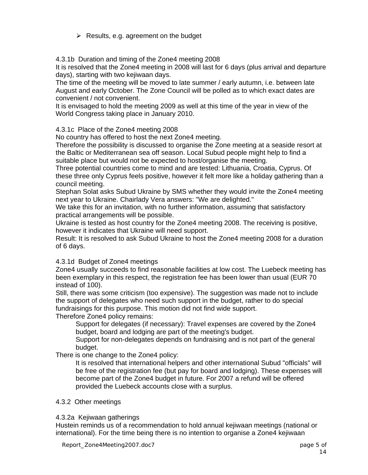$\triangleright$  Results, e.g. agreement on the budget

4.3.1b Duration and timing of the Zone4 meeting 2008

It is resolved that the Zone4 meeting in 2008 will last for 6 days (plus arrival and departure days), starting with two kejiwaan days.

The time of the meeting will be moved to late summer / early autumn, i.e. between late August and early October. The Zone Council will be polled as to which exact dates are convenient / not convenient.

It is envisaged to hold the meeting 2009 as well at this time of the year in view of the World Congress taking place in January 2010.

4.3.1c Place of the Zone4 meeting 2008

No country has offered to host the next Zone4 meeting.

Therefore the possibility is discussed to organise the Zone meeting at a seaside resort at the Baltic or Mediterranean sea off season. Local Subud people might help to find a suitable place but would not be expected to host/organise the meeting.

Three potential countries come to mind and are tested: Lithuania, Croatia, Cyprus. Of these three only Cyprus feels positive, however it felt more like a holiday gathering than a council meeting.

Stephan Solat asks Subud Ukraine by SMS whether they would invite the Zone4 meeting next year to Ukraine. Chairlady Vera answers: "We are delighted."

We take this for an invitation, with no further information, assuming that satisfactory practical arrangements will be possible.

Ukraine is tested as host country for the Zone4 meeting 2008. The receiving is positive, however it indicates that Ukraine will need support.

Result: It is resolved to ask Subud Ukraine to host the Zone4 meeting 2008 for a duration of 6 days.

# 4.3.1d Budget of Zone4 meetings

Zone4 usually succeeds to find reasonable facilities at low cost. The Luebeck meeting has been exemplary in this respect, the registration fee has been lower than usual (EUR 70 instead of 100).

Still, there was some criticism (too expensive). The suggestion was made not to include the support of delegates who need such support in the budget, rather to do special fundraisings for this purpose. This motion did not find wide support.

Therefore Zone4 policy remains:

 Support for delegates (if necessary): Travel expenses are covered by the Zone4 budget, board and lodging are part of the meeting's budget.

 Support for non-delegates depends on fundraising and is not part of the general budget.

There is one change to the Zone4 policy:

 It is resolved that international helpers and other international Subud "officials" will be free of the registration fee (but pay for board and lodging). These expenses will become part of the Zone4 budget in future. For 2007 a refund will be offered provided the Luebeck accounts close with a surplus.

# 4.3.2 Other meetings

# 4.3.2a Kejiwaan gatherings

Hustein reminds us of a recommendation to hold annual kejiwaan meetings (national or international). For the time being there is no intention to organise a Zone4 kejiwaan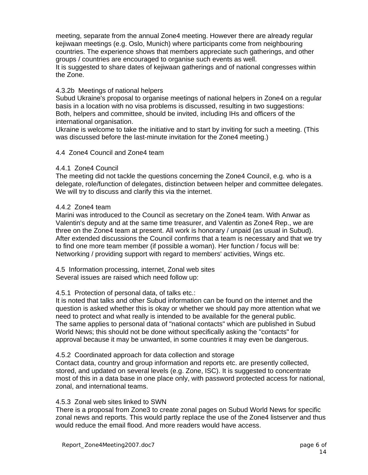meeting, separate from the annual Zone4 meeting. However there are already regular kejiwaan meetings (e.g. Oslo, Munich) where participants come from neighbouring countries. The experience shows that members appreciate such gatherings, and other groups / countries are encouraged to organise such events as well.

It is suggested to share dates of kejiwaan gatherings and of national congresses within the Zone.

### 4.3.2b Meetings of national helpers

Subud Ukraine's proposal to organise meetings of national helpers in Zone4 on a regular basis in a location with no visa problems is discussed, resulting in two suggestions: Both, helpers and committee, should be invited, including IHs and officers of the international organisation.

Ukraine is welcome to take the initiative and to start by inviting for such a meeting. (This was discussed before the last-minute invitation for the Zone4 meeting.)

#### 4.4 Zone4 Council and Zone4 team

#### 4.4.1 Zone4 Council

The meeting did not tackle the questions concerning the Zone4 Council, e.g. who is a delegate, role/function of delegates, distinction between helper and committee delegates. We will try to discuss and clarify this via the internet.

### 4.4.2 Zone4 team

Marini was introduced to the Council as secretary on the Zone4 team. With Anwar as Valentin's deputy and at the same time treasurer, and Valentin as Zone4 Rep., we are three on the Zone4 team at present. All work is honorary / unpaid (as usual in Subud). After extended discussions the Council confirms that a team is necessary and that we try to find one more team member (if possible a woman). Her function / focus will be: Networking / providing support with regard to members' activities, Wings etc.

4.5 Information processing, internet, Zonal web sites Several issues are raised which need follow up:

#### 4.5.1 Protection of personal data, of talks etc.:

It is noted that talks and other Subud information can be found on the internet and the question is asked whether this is okay or whether we should pay more attention what we need to protect and what really is intended to be available for the general public. The same applies to personal data of "national contacts" which are published in Subud World News; this should not be done without specifically asking the "contacts" for approval because it may be unwanted, in some countries it may even be dangerous.

#### 4.5.2 Coordinated approach for data collection and storage

Contact data, country and group information and reports etc. are presently collected, stored, and updated on several levels (e.g. Zone, ISC). It is suggested to concentrate most of this in a data base in one place only, with password protected access for national, zonal, and international teams.

#### 4.5.3 Zonal web sites linked to SWN

There is a proposal from Zone3 to create zonal pages on Subud World News for specific zonal news and reports. This would partly replace the use of the Zone4 listserver and thus would reduce the email flood. And more readers would have access.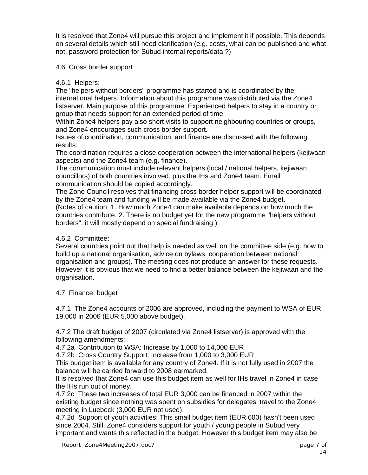It is resolved that Zone4 will pursue this project and implement it if possible. This depends on several details which still need clarification (e.g. costs, what can be published and what not, password protection for Subud internal reports/data ?)

### 4.6 Cross border support

### 4.6.1 Helpers:

The "helpers without borders" programme has started and is coordinated by the international helpers. Information about this programme was distributed via the Zone4 listserver. Main purpose of this programme: Experienced helpers to stay in a country or group that needs support for an extended period of time.

Within Zone4 helpers pay also short visits to support neighbouring countries or groups, and Zone4 encourages such cross border support.

Issues of coordination, communication, and finance are discussed with the following results:

The coordination requires a close cooperation between the international helpers (kejiwaan aspects) and the Zone4 team (e.g. finance).

The communication must include relevant helpers (local / national helpers, kejiwaan councillors) of both countries involved, plus the IHs and Zone4 team. Email communication should be copied accordingly.

The Zone Council resolves that financing cross border helper support will be coordinated by the Zone4 team and funding will be made available via the Zone4 budget.

(Notes of caution: 1. How much Zone4 can make available depends on how much the countries contribute. 2. There is no budget yet for the new programme "helpers without borders", it will mostly depend on special fundraising.)

### 4.6.2 Committee:

Several countries point out that help is needed as well on the committee side (e.g. how to build up a national organisation, advice on bylaws, cooperation between national organisation and groups). The meeting does not produce an answer for these requests. However it is obvious that we need to find a better balance between the kejiwaan and the organisation.

# 4.7 Finance, budget

4.7.1 The Zone4 accounts of 2006 are approved, including the payment to WSA of EUR 19,000 in 2006 (EUR 5,000 above budget).

4.7.2 The draft budget of 2007 (circulated via Zone4 listserver) is approved with the following amendments:

4.7.2a Contribution to WSA: Increase by 1,000 to 14,000 EUR

4.7.2b Cross Country Support: Increase from 1,000 to 3,000 EUR

This budget item is available for any country of Zone4. If it is not fully used in 2007 the balance will be carried forward to 2008 earmarked.

It is resolved that Zone4 can use this budget item as well for IHs travel in Zone4 in case the IHs run out of money.

4.7.2c These two increases of total EUR 3,000 can be financed in 2007 within the existing budget since nothing was spent on subsidies for delegates' travel to the Zone4 meeting in Luebeck (3,000 EUR not used).

4.7.2d Support of youth activities: This small budget item (EUR 600) hasn't been used since 2004. Still, Zone4 considers support for youth / young people in Subud very important and wants this reflected in the budget. However this budget item may also be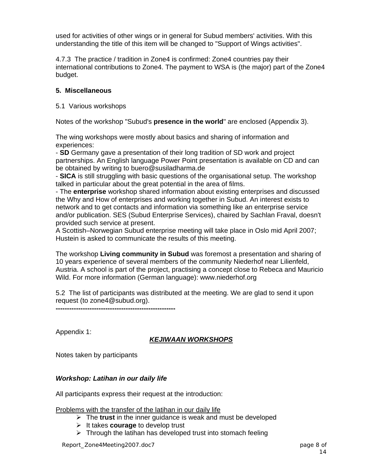used for activities of other wings or in general for Subud members' activities. With this understanding the title of this item will be changed to "Support of Wings activities".

4.7.3 The practice / tradition in Zone4 is confirmed: Zone4 countries pay their international contributions to Zone4. The payment to WSA is (the major) part of the Zone4 budget.

# **5. Miscellaneous**

### 5.1 Various workshops

Notes of the workshop "Subud's **presence in the world**" are enclosed (Appendix 3).

The wing workshops were mostly about basics and sharing of information and experiences:

- **SD** Germany gave a presentation of their long tradition of SD work and project partnerships. An English language Power Point presentation is available on CD and can be obtained by writing to buero@susiladharma.de

- **SICA** is still struggling with basic questions of the organisational setup. The workshop talked in particular about the great potential in the area of films.

- The **enterprise** workshop shared information about existing enterprises and discussed the Why and How of enterprises and working together in Subud. An interest exists to network and to get contacts and information via something like an enterprise service and/or publication. SES (Subud Enterprise Services), chaired by Sachlan Fraval, doesn't provided such service at present.

A Scottish–Norwegian Subud enterprise meeting will take place in Oslo mid April 2007; Hustein is asked to communicate the results of this meeting.

The workshop **Living community in Subud** was foremost a presentation and sharing of 10 years experience of several members of the community Niederhof near Lilienfeld, Austria. A school is part of the project, practising a concept close to Rebeca and Mauricio Wild. For more information (German language): www.niederhof.org

5.2 The list of participants was distributed at the meeting. We are glad to send it upon request (to zone4@subud.org).

**-----------------------------------------------------** 

Appendix 1:

# *KEJIWAAN WORKSHOPS*

Notes taken by participants

# *Workshop: Latihan in our daily life*

All participants express their request at the introduction:

#### Problems with the transfer of the latihan in our daily life

- ¾ The **trust** in the inner guidance is weak and must be developed
- ¾ It takes **courage** to develop trust
- $\triangleright$  Through the latihan has developed trust into stomach feeling

Report\_Zone4Meeting2007.doc7 page 8 of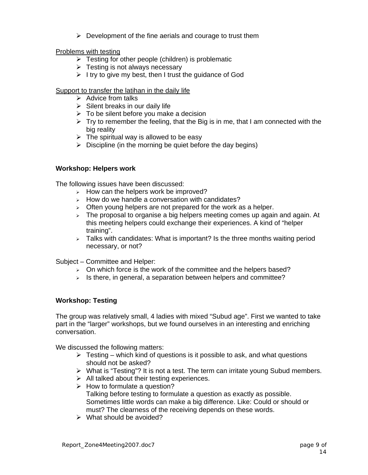$\triangleright$  Development of the fine aerials and courage to trust them

#### Problems with testing

- $\triangleright$  Testing for other people (children) is problematic
- $\triangleright$  Testing is not always necessary
- $\triangleright$  I try to give my best, then I trust the guidance of God

### Support to transfer the latihan in the daily life

- $\triangleright$  Advice from talks
- $\triangleright$  Silent breaks in our daily life
- $\triangleright$  To be silent before you make a decision
- $\triangleright$  Try to remember the feeling, that the Big is in me, that I am connected with the big reality
- $\triangleright$  The spiritual way is allowed to be easy
- $\triangleright$  Discipline (in the morning be quiet before the day begins)

### **Workshop: Helpers work**

The following issues have been discussed:

- $\geq$  How can the helpers work be improved?
- $\triangleright$  How do we handle a conversation with candidates?
- $\geq$  Often young helpers are not prepared for the work as a helper.
- $\geq$  The proposal to organise a big helpers meeting comes up again and again. At this meeting helpers could exchange their experiences. A kind of "helper training".
- $\geq$  Talks with candidates: What is important? Is the three months waiting period necessary, or not?

Subject – Committee and Helper:

- $\geq$  On which force is the work of the committee and the helpers based?
- $\geq$  Is there, in general, a separation between helpers and committee?

#### **Workshop: Testing**

The group was relatively small, 4 ladies with mixed "Subud age". First we wanted to take part in the "larger" workshops, but we found ourselves in an interesting and enriching conversation.

We discussed the following matters:

- $\triangleright$  Testing which kind of questions is it possible to ask, and what questions should not be asked?
- $\triangleright$  What is "Testing"? It is not a test. The term can irritate young Subud members.
- $\triangleright$  All talked about their testing experiences.
- $\triangleright$  How to formulate a question? Talking before testing to formulate a question as exactly as possible. Sometimes little words can make a big difference. Like: Could or should or must? The clearness of the receiving depends on these words.
- $\triangleright$  What should be avoided?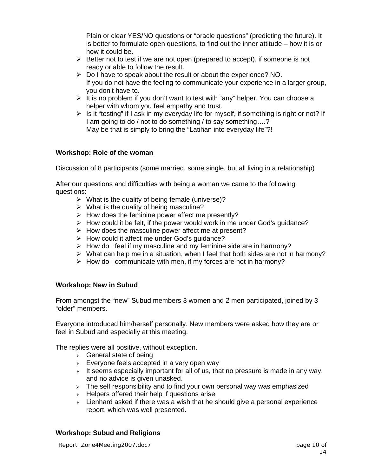Plain or clear YES/NO questions or "oracle questions" (predicting the future). It is better to formulate open questions, to find out the inner attitude – how it is or how it could be.

- $\triangleright$  Better not to test if we are not open (prepared to accept), if someone is not ready or able to follow the result.
- $\triangleright$  Do I have to speak about the result or about the experience? NO. If you do not have the feeling to communicate your experience in a larger group, you don't have to.
- $\triangleright$  It is no problem if you don't want to test with "any" helper. You can choose a helper with whom you feel empathy and trust.
- $\triangleright$  Is it "testing" if I ask in my everyday life for myself, if something is right or not? If I am going to do / not to do something / to say something….? May be that is simply to bring the "Latihan into everyday life"?!

### **Workshop: Role of the woman**

Discussion of 8 participants (some married, some single, but all living in a relationship)

After our questions and difficulties with being a woman we came to the following questions:

- $\triangleright$  What is the quality of being female (universe)?
- $\triangleright$  What is the quality of being masculine?
- $\triangleright$  How does the feminine power affect me presently?
- $\triangleright$  How could it be felt, if the power would work in me under God's guidance?
- $\triangleright$  How does the masculine power affect me at present?
- $\triangleright$  How could it affect me under God's guidance?
- $\triangleright$  How do I feel if my masculine and my feminine side are in harmony?
- $\triangleright$  What can help me in a situation, when I feel that both sides are not in harmony?
- $\triangleright$  How do I communicate with men, if my forces are not in harmony?

#### **Workshop: New in Subud**

From amongst the "new" Subud members 3 women and 2 men participated, joined by 3 "older" members.

Everyone introduced him/herself personally. New members were asked how they are or feel in Subud and especially at this meeting.

The replies were all positive, without exception.

- $\triangleright$  General state of being
- $\triangleright$  Everyone feels accepted in a very open way
- $\triangleright$  It seems especially important for all of us, that no pressure is made in any way, and no advice is given unasked.
- $\geq$  The self responsibility and to find your own personal way was emphasized
- $\triangleright$  Helpers offered their help if questions arise
- $\triangleright$  Lienhard asked if there was a wish that he should give a personal experience report, which was well presented.

#### **Workshop: Subud and Religions**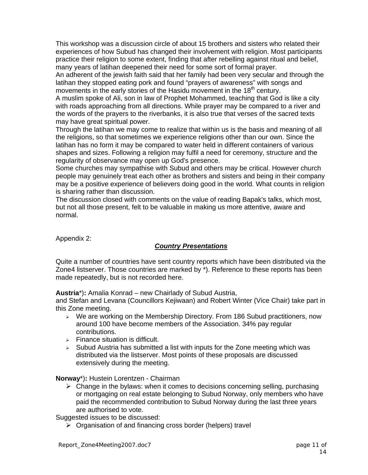This workshop was a discussion circle of about 15 brothers and sisters who related their experiences of how Subud has changed their involvement with religion. Most participants practice their religion to some extent, finding that after rebelling against ritual and belief, many years of latihan deepened their need for some sort of formal prayer.

An adherent of the jewish faith said that her family had been very secular and through the latihan they stopped eating pork and found "prayers of awareness" with songs and movements in the early stories of the Hasidu movement in the 18<sup>th</sup> century.

A muslim spoke of Ali, son in law of Prophet Mohammed, teaching that God is like a city with roads approaching from all directions. While prayer may be compared to a river and the words of the prayers to the riverbanks, it is also true that verses of the sacred texts may have great spiritual power.

Through the latihan we may come to realize that within us is the basis and meaning of all the religions, so that sometimes we experience religions other than our own. Since the latihan has no form it may be compared to water held in different containers of various shapes and sizes. Following a religion may fulfil a need for ceremony, structure and the regularity of observance may open up God's presence.

Some churches may sympathise with Subud and others may be critical. However church people may genuinely treat each other as brothers and sisters and being in their company may be a positive experience of believers doing good in the world. What counts in religion is sharing rather than discussion.

The discussion closed with comments on the value of reading Bapak's talks, which most, but not all those present, felt to be valuable in making us more attentive, aware and normal.

Appendix 2:

# *Country Presentations*

Quite a number of countries have sent country reports which have been distributed via the Zone4 listserver. Those countries are marked by \*). Reference to these reports has been made repeatedly, but is not recorded here.

**Austria**\*)**:** Amalia Konrad – new Chairlady of Subud Austria,

and Stefan and Levana (Councillors Kejiwaan) and Robert Winter (Vice Chair) take part in this Zone meeting.

- <sup>¾</sup> We are working on the Membership Directory. From 186 Subud practitioners, now around 100 have become members of the Association. 34% pay regular contributions.
- $\triangleright$  Finance situation is difficult.
- $\triangleright$  Subud Austria has submitted a list with inputs for the Zone meeting which was distributed via the listserver. Most points of these proposals are discussed extensively during the meeting.

**Norway**\*)**:** Hustein Lorentzen - Chairman

 $\triangleright$  Change in the bylaws: when it comes to decisions concerning selling, purchasing or mortgaging on real estate belonging to Subud Norway, only members who have paid the recommended contribution to Subud Norway during the last three years are authorised to vote.

Suggested issues to be discussed:

 $\triangleright$  Organisation of and financing cross border (helpers) travel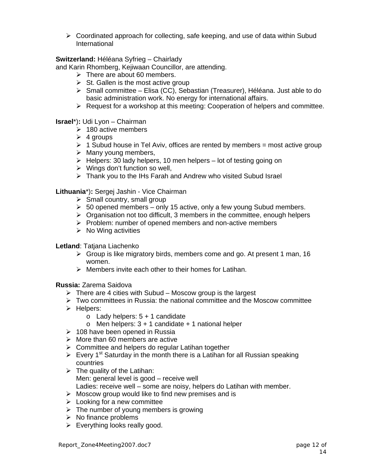$\triangleright$  Coordinated approach for collecting, safe keeping, and use of data within Subud International

# **Switzerland:** Héléana Syfrieg – Chairlady

and Karin Rhomberg, Kejiwaan Councillor, are attending.

- $\triangleright$  There are about 60 members.
- $\triangleright$  St. Gallen is the most active group
- ¾ Small committee Elisa (CC), Sebastian (Treasurer), Héléana. Just able to do basic administration work. No energy for international affairs.
- $\triangleright$  Request for a workshop at this meeting: Cooperation of helpers and committee.

**Israel**\*)**:** Udi Lyon – Chairman

- $\geq 180$  active members
- $\geq 4$  groups
- $\triangleright$  1 Subud house in Tel Aviv, offices are rented by members = most active group
- $\triangleright$  Many young members,
- $\triangleright$  Helpers: 30 lady helpers, 10 men helpers lot of testing going on
- $\triangleright$  Wings don't function so well,
- $\triangleright$  Thank you to the IHs Farah and Andrew who visited Subud Israel

**Lithuania**\*)**:** Sergej Jashin - Vice Chairman

- $\triangleright$  Small country, small group
- $\geq 50$  opened members only 15 active, only a few young Subud members.
- $\triangleright$  Organisation not too difficult, 3 members in the committee, enough helpers
- $\triangleright$  Problem: number of opened members and non-active members
- $\triangleright$  No Wing activities

# **Letland**: Tatjana Liachenko

- $\triangleright$  Group is like migratory birds, members come and go. At present 1 man, 16 women.
- $\triangleright$  Members invite each other to their homes for Latihan.

**Russia:** Zarema Saidova

- $\triangleright$  There are 4 cities with Subud Moscow group is the largest
- $\triangleright$  Two committees in Russia: the national committee and the Moscow committee
- $\triangleright$  Helpers:
	- $\circ$  Lady helpers:  $5 + 1$  candidate
	- $\circ$  Men helpers: 3 + 1 candidate + 1 national helper
- $\geq 108$  have been opened in Russia
- $\triangleright$  More than 60 members are active
- $\triangleright$  Committee and helpers do regular Latihan together
- $\triangleright$  Every 1<sup>st</sup> Saturday in the month there is a Latihan for all Russian speaking countries
- $\triangleright$  The quality of the Latihan: Men: general level is good – receive well Ladies: receive well – some are noisy, helpers do Latihan with member.
- $\triangleright$  Moscow group would like to find new premises and is
- $\triangleright$  Looking for a new committee
- $\triangleright$  The number of young members is growing
- $\triangleright$  No finance problems
- $\triangleright$  Everything looks really good.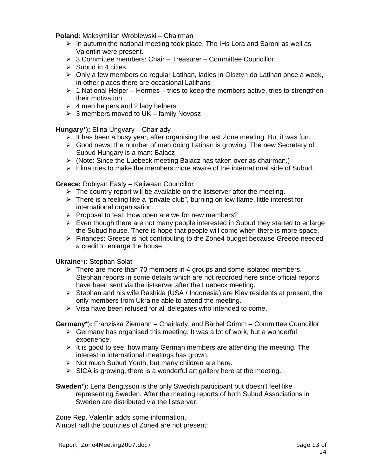**Poland:** Maksymilian Wroblewski – Chairman

- $\triangleright$  In autumn the national meeting took place. The IHs Lora and Saroni as well as Valentin were present.
- $\geq 3$  Committee members: Chair Treasurer Committee Councillor
- $\triangleright$  Subud in 4 cities
- $\triangleright$  Only a few members do regular Latihan, ladies in Olsztyn do Latihan once a week, in other places there are occasional Latihans
- $\triangleright$  1 National Helper Hermes tries to keep the members active, tries to strengthen their motivation
- $\geq 4$  men helpers and 2 lady helpers
- $\geq 3$  members moved to UK family Novosz

**Hungary**\*)**:** Elina Ungvary – Chairlady

- $\triangleright$  It has been a busy year, after organising the last Zone meeting. But it was fun.
- $\triangleright$  Good news: the number of men doing Latihan is growing. The new Secretary of Subud Hungary is a man: Balacz
- $\triangleright$  (Note: Since the Luebeck meeting Balacz has taken over as chairman.)
- $\triangleright$  Elina tries to make the members more aware of the international side of Subud.

#### **Greece:** Robiyan Easty – Kejiwaan Councillor

- $\triangleright$  The country report will be available on the listserver after the meeting.
- $\triangleright$  There is a feeling like a "private club", burning on low flame, little interest for international organisation.
- $\triangleright$  Proposal to test: How open are we for new members?
- $\triangleright$  Even though there are not many people interested in Subud they started to enlarge the Subud house. There is hope that people will come when there is more space.
- $\triangleright$  Finances: Greece is not contributing to the Zone4 budget because Greece needed a credit to enlarge the house

#### **Ukraine**\*)**:** Stephan Solat

- $\triangleright$  There are more than 70 members in 4 groups and some isolated members. Stephan reports in some details which are not recorded here since official reports have been sent via the listserver after the Luebeck meeting.
- $\triangleright$  Stephan and his wife Rashida (USA / Indonesia) are Kiev residents at present, the only members from Ukraine able to attend the meeting.
- $\triangleright$  Visa have been refused for all delegates who intended to come.

**Germany**\*)**:** Franziska Ziemann – Chairlady, and Bärbel Grimm – Committee Councillor

- $\triangleright$  Germany has organised this meeting. It was a lot of work, but a wonderful experience.
- $\triangleright$  It is good to see, how many German members are attending the meeting. The interest in international meetings has grown.
- $\triangleright$  Not much Subud Youth, but many children are here.
- $\triangleright$  SICA is growing, there is a wonderful art gallery here at the meeting.

**Sweden**\*)**:** Lena Bengtsson is the only Swedish participant but doesn't feel like representing Sweden. After the meeting reports of both Subud Associations in Sweden are distributed via the listserver.

Zone Rep. Valentin adds some information. Almost half the countries of Zone4 are not present: